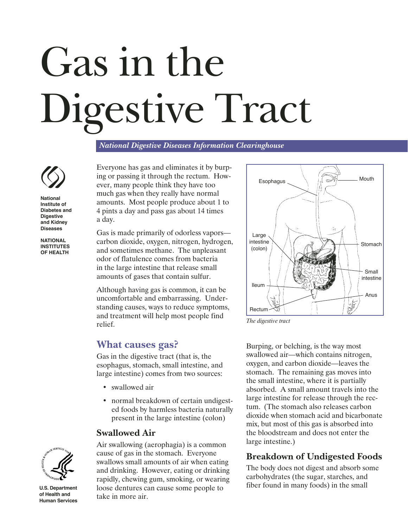# Gas in the Digestive Tract

*National Digestive Diseases Information Clearinghouse*



**National Institute of Diabetes and Digestive and Kidney Diseases**

```
NATIONAL 
INSTITUTES
OF HEALTH
```
Everyone has gas and eliminates it by burping or passing it through the rectum. However, many people think they have too much gas when they really have normal amounts. Most people produce about 1 to 4 pints a day and pass gas about 14 times a day.

Gas is made primarily of odorless vapors carbon dioxide, oxygen, nitrogen, hydrogen, and sometimes methane. The unpleasant odor of flatulence comes from bacteria in the large intestine that release small amounts of gases that contain sulfur.

Although having gas is common, it can be uncomfortable and embarrassing. Understanding causes, ways to reduce symptoms, and treatment will help most people find relief.

# **What causes gas?**

Gas in the digestive tract (that is, the esophagus, stomach, small intestine, and large intestine) comes from two sources:

- swallowed air
- normal breakdown of certain undigested foods by harmless bacteria naturally present in the large intestine (colon)

# **Swallowed Air**

Air swallowing (aerophagia) is a common cause of gas in the stomach. Everyone swallows small amounts of air when eating and drinking. However, eating or drinking rapidly, chewing gum, smoking, or wearing loose dentures can cause some people to take in more air.



*The digestive tract*

Burping, or belching, is the way most swallowed air—which contains nitrogen, oxygen, and carbon dioxide—leaves the stomach. The remaining gas moves into the small intestine, where it is partially absorbed. A small amount travels into the large intestine for release through the rectum. (The stomach also releases carbon dioxide when stomach acid and bicarbonate mix, but most of this gas is absorbed into the bloodstream and does not enter the large intestine.)

## **Breakdown of Undigested Foods**

The body does not digest and absorb some carbohydrates (the sugar, starches, and fiber found in many foods) in the small



**U.S. Department of Health and Human Services**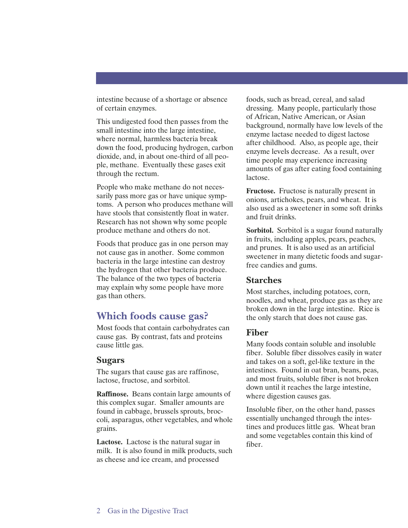intestine because of a shortage or absence of certain enzymes.

This undigested food then passes from the small intestine into the large intestine, where normal, harmless bacteria break down the food, producing hydrogen, carbon dioxide, and, in about one-third of all people, methane. Eventually these gases exit through the rectum.

People who make methane do not necessarily pass more gas or have unique symptoms. A person who produces methane will have stools that consistently float in water. Research has not shown why some people produce methane and others do not.

Foods that produce gas in one person may not cause gas in another. Some common bacteria in the large intestine can destroy the hydrogen that other bacteria produce. The balance of the two types of bacteria may explain why some people have more gas than others.

## **Which foods cause gas?**

Most foods that contain carbohydrates can cause gas. By contrast, fats and proteins cause little gas.

#### **Sugars**

The sugars that cause gas are raffinose, lactose, fructose, and sorbitol.

**Raffinose.** Beans contain large amounts of this complex sugar. Smaller amounts are found in cabbage, brussels sprouts, broccoli, asparagus, other vegetables, and whole grains.

**Lactose.** Lactose is the natural sugar in milk. It is also found in milk products, such as cheese and ice cream, and processed

foods, such as bread, cereal, and salad dressing. Many people, particularly those of African, Native American, or Asian background, normally have low levels of the enzyme lactase needed to digest lactose after childhood. Also, as people age, their enzyme levels decrease. As a result, over time people may experience increasing amounts of gas after eating food containing lactose.

**Fructose.** Fructose is naturally present in onions, artichokes, pears, and wheat. It is also used as a sweetener in some soft drinks and fruit drinks.

**Sorbitol.** Sorbitol is a sugar found naturally in fruits, including apples, pears, peaches, and prunes. It is also used as an artificial sweetener in many dietetic foods and sugarfree candies and gums.

#### **Starches**

Most starches, including potatoes, corn, noodles, and wheat, produce gas as they are broken down in the large intestine. Rice is the only starch that does not cause gas.

#### **Fiber**

Many foods contain soluble and insoluble fiber. Soluble fiber dissolves easily in water and takes on a soft, gel-like texture in the intestines. Found in oat bran, beans, peas, and most fruits, soluble fiber is not broken down until it reaches the large intestine, where digestion causes gas.

Insoluble fiber, on the other hand, passes essentially unchanged through the intestines and produces little gas. Wheat bran and some vegetables contain this kind of fiber.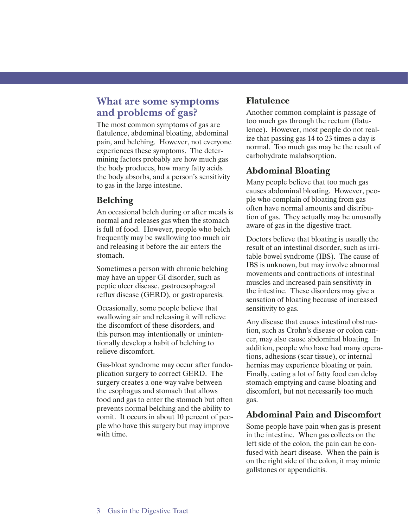## **What are some symptoms and problems of gas?**

The most common symptoms of gas are flatulence, abdominal bloating, abdominal pain, and belching. However, not everyone experiences these symptoms. The determining factors probably are how much gas the body produces, how many fatty acids the body absorbs, and a person's sensitivity to gas in the large intestine.

#### **Belching**

An occasional belch during or after meals is normal and releases gas when the stomach is full of food. However, people who belch frequently may be swallowing too much air and releasing it before the air enters the stomach.

Sometimes a person with chronic belching may have an upper GI disorder, such as peptic ulcer disease, gastroesophageal reflux disease (GERD), or gastroparesis.

Occasionally, some people believe that swallowing air and releasing it will relieve the discomfort of these disorders, and this person may intentionally or unintentionally develop a habit of belching to relieve discomfort.

Gas-bloat syndrome may occur after fundoplication surgery to correct GERD. The surgery creates a one-way valve between the esophagus and stomach that allows food and gas to enter the stomach but often prevents normal belching and the ability to vomit. It occurs in about 10 percent of people who have this surgery but may improve with time.

#### **Flatulence**

Another common complaint is passage of too much gas through the rectum (flatulence). However, most people do not realize that passing gas 14 to 23 times a day is normal. Too much gas may be the result of carbohydrate malabsorption.

# **Abdominal Bloating**

Many people believe that too much gas causes abdominal bloating. However, people who complain of bloating from gas often have normal amounts and distribution of gas. They actually may be unusually aware of gas in the digestive tract.

Doctors believe that bloating is usually the result of an intestinal disorder, such as irritable bowel syndrome (IBS). The cause of IBS is unknown, but may involve abnormal movements and contractions of intestinal muscles and increased pain sensitivity in the intestine. These disorders may give a sensation of bloating because of increased sensitivity to gas.

Any disease that causes intestinal obstruction, such as Crohn's disease or colon cancer, may also cause abdominal bloating. In addition, people who have had many operations, adhesions (scar tissue), or internal hernias may experience bloating or pain. Finally, eating a lot of fatty food can delay stomach emptying and cause bloating and discomfort, but not necessarily too much gas.

## **Abdominal Pain and Discomfort**

Some people have pain when gas is present in the intestine. When gas collects on the left side of the colon, the pain can be confused with heart disease. When the pain is on the right side of the colon, it may mimic gallstones or appendicitis.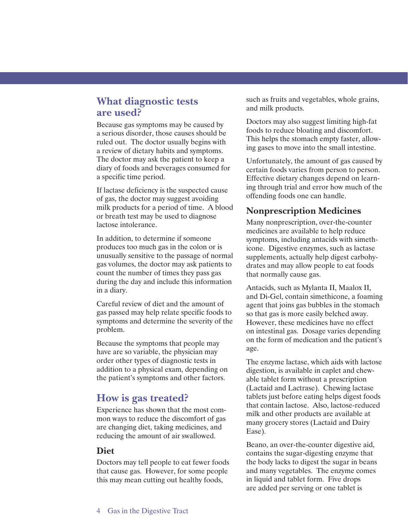# **What diagnostic tests are used?**

Because gas symptoms may be caused by a serious disorder, those causes should be ruled out. The doctor usually begins with a review of dietary habits and symptoms. The doctor may ask the patient to keep a diary of foods and beverages consumed for a specific time period.

If lactase deficiency is the suspected cause of gas, the doctor may suggest avoiding milk products for a period of time. A blood or breath test may be used to diagnose lactose intolerance.

In addition, to determine if someone produces too much gas in the colon or is unusually sensitive to the passage of normal gas volumes, the doctor may ask patients to count the number of times they pass gas during the day and include this information in a diary.

Careful review of diet and the amount of gas passed may help relate specific foods to symptoms and determine the severity of the problem.

Because the symptoms that people may have are so variable, the physician may order other types of diagnostic tests in addition to a physical exam, depending on the patient's symptoms and other factors.

# **How is gas treated?**

Experience has shown that the most common ways to reduce the discomfort of gas are changing diet, taking medicines, and reducing the amount of air swallowed.

#### **Diet**

Doctors may tell people to eat fewer foods that cause gas. However, for some people this may mean cutting out healthy foods,

such as fruits and vegetables, whole grains, and milk products.

Doctors may also suggest limiting high-fat foods to reduce bloating and discomfort. This helps the stomach empty faster, allowing gases to move into the small intestine.

Unfortunately, the amount of gas caused by certain foods varies from person to person. Effective dietary changes depend on learning through trial and error how much of the offending foods one can handle.

#### **Nonprescription Medicines**

Many nonprescription, over-the-counter medicines are available to help reduce symptoms, including antacids with simethicone. Digestive enzymes, such as lactase supplements, actually help digest carbohydrates and may allow people to eat foods that normally cause gas.

Antacids, such as Mylanta II, Maalox II, and Di-Gel, contain simethicone, a foaming agent that joins gas bubbles in the stomach so that gas is more easily belched away. However, these medicines have no effect on intestinal gas. Dosage varies depending on the form of medication and the patient's age.

The enzyme lactase, which aids with lactose digestion, is available in caplet and chewable tablet form without a prescription (Lactaid and Lactrase). Chewing lactase tablets just before eating helps digest foods that contain lactose. Also, lactose-reduced milk and other products are available at many grocery stores (Lactaid and Dairy Ease).

Beano, an over-the-counter digestive aid, contains the sugar-digesting enzyme that the body lacks to digest the sugar in beans and many vegetables. The enzyme comes in liquid and tablet form. Five drops are added per serving or one tablet is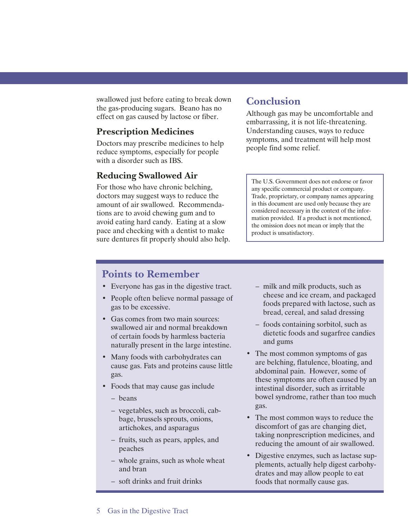swallowed just before eating to break down the gas-producing sugars. Beano has no effect on gas caused by lactose or fiber.

#### **Prescription Medicines**

Doctors may prescribe medicines to help reduce symptoms, especially for people with a disorder such as IBS.

## **Reducing Swallowed Air**

For those who have chronic belching, doctors may suggest ways to reduce the amount of air swallowed. Recommendations are to avoid chewing gum and to avoid eating hard candy. Eating at a slow pace and checking with a dentist to make sure dentures fit properly should also help.

# **Conclusion**

Although gas may be uncomfortable and embarrassing, it is not life-threatening. Understanding causes, ways to reduce symptoms, and treatment will help most people find some relief.

The U.S. Government does not endorse or favor any specific commercial product or company. Trade, proprietary, or company names appearing in this document are used only because they are considered necessary in the context of the information provided. If a product is not mentioned, the omission does not mean or imply that the product is unsatisfactory.

# **Points to Remember**

- Everyone has gas in the digestive tract.
- People often believe normal passage of gas to be excessive.
- Gas comes from two main sources: swallowed air and normal breakdown of certain foods by harmless bacteria naturally present in the large intestine.
- Many foods with carbohydrates can cause gas. Fats and proteins cause little gas.
- Foods that may cause gas include
	- beans
	- vegetables, such as broccoli, cabbage, brussels sprouts, onions, artichokes, and asparagus
	- fruits, such as pears, apples, and peaches
	- whole grains, such as whole wheat and bran
	- soft drinks and fruit drinks
- milk and milk products, such as cheese and ice cream, and packaged foods prepared with lactose, such as bread, cereal, and salad dressing
- foods containing sorbitol, such as dietetic foods and sugarfree candies and gums
- The most common symptoms of gas are belching, flatulence, bloating, and abdominal pain. However, some of these symptoms are often caused by an intestinal disorder, such as irritable bowel syndrome, rather than too much gas.
- The most common ways to reduce the discomfort of gas are changing diet, taking nonprescription medicines, and reducing the amount of air swallowed.
- Digestive enzymes, such as lactase supplements, actually help digest carbohydrates and may allow people to eat foods that normally cause gas.